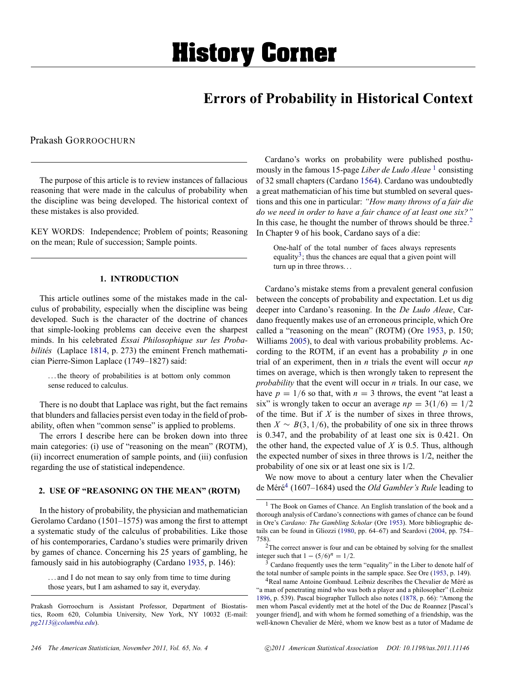# **Errors of Probability in Historical Context**

<span id="page-0-0"></span>Prakash GORROOCHURN

The purpose of this article is to review instances of fallacious reasoning that were made in the calculus of probability when the discipline was being developed. The historical context of these mistakes is also provided.

KEY WORDS: Independence; Problem of points; Reasoning on the mean; Rule of succession; Sample points.

# **1. INTRODUCTION**

This article outlines some of the mistakes made in the calculus of probability, especially when the discipline was being developed. Such is the character of the doctrine of chances that simple-looking problems can deceive even the sharpest minds. In his celebrated *Essai Philosophique sur les Probabilités* (Laplace [1814](#page-8-0), p. 273) the eminent French mathematician Pierre-Simon Laplace (1749–1827) said:

. . . the theory of probabilities is at bottom only common sense reduced to calculus.

There is no doubt that Laplace was right, but the fact remains that blunders and fallacies persist even today in the field of probability, often when "common sense" is applied to problems.

The errors I describe here can be broken down into three main categories: (i) use of "reasoning on the mean" (ROTM), (ii) incorrect enumeration of sample points, and (iii) confusion regarding the use of statistical independence.

## **2. USE OF "REASONING ON THE MEAN" (ROTM)**

In the history of probability, the physician and mathematician Gerolamo Cardano (1501–1575) was among the first to attempt a systematic study of the calculus of probabilities. Like those of his contemporaries, Cardano's studies were primarily driven by games of chance. Concerning his 25 years of gambling, he famously said in his autobiography (Cardano [1935,](#page-7-0) p. 146):

. . . and I do not mean to say only from time to time during those years, but I am ashamed to say it, everyday.

Cardano's works on probability were published posthumously in the famous 15-page *Liber de Ludo Aleae*<sup>1</sup> consisting of 32 small chapters (Cardano [1564\)](#page-7-0). Cardano was undoubtedly a great mathematician of his time but stumbled on several questions and this one in particular: *"How many throws of a fair die do we need in order to have a fair chance of at least one six?"* In this case, he thought the number of throws should be three.<sup>2</sup> In Chapter 9 of his book, Cardano says of a die:

One-half of the total number of faces always represents equality<sup>3</sup>; thus the chances are equal that a given point will turn up in three throws. . .

Cardano's mistake stems from a prevalent general confusion between the concepts of probability and expectation. Let us dig deeper into Cardano's reasoning. In the *De Ludo Aleae*, Cardano frequently makes use of an erroneous principle, which Ore called a "reasoning on the mean" (ROTM) (Ore [1953](#page-8-0), p. 150; Williams [2005\)](#page-8-0), to deal with various probability problems. According to the ROTM, if an event has a probability *p* in one trial of an experiment, then in *n* trials the event will occur *np* times on average, which is then wrongly taken to represent the *probability* that the event will occur in *n* trials. In our case, we have  $p = 1/6$  so that, with  $n = 3$  throws, the event "at least a six" is wrongly taken to occur an average  $np = 3(1/6) = 1/2$ of the time. But if *X* is the number of sixes in three throws, then  $X \sim B(3, 1/6)$ , the probability of one six in three throws is 0.347, and the probability of at least one six is 0.421. On the other hand, the expected value of *X* is 0.5. Thus, although the expected number of sixes in three throws is 1/2, neither the probability of one six or at least one six is 1/2.

We now move to about a century later when the Chevalier de Méré<sup>4</sup> (1607–1684) used the *Old Gambler's Rule* leading to

Prakash Gorroochurn is Assistant Professor, Department of Biostatistics, Room 620, Columbia University, New York, NY 10032 (E-mail: *[pg2113@columbia.edu](mailto:pg2113@columbia.edu)*).

<sup>1</sup> The Book on Games of Chance. An English translation of the book and a thorough analysis of Cardano's connections with games of chance can be found in Ore's *Cardano: The Gambling Scholar* (Ore [1953](#page-8-0)). More bibliographic details can be found in Gliozzi ([1980,](#page-7-0) pp. 64–67) and Scardovi [\(2004](#page-8-0), pp. 754– 758).

<sup>2</sup>The correct answer is four and can be obtained by solving for the smallest integer such that  $1 - (5/6)^n = 1/2$ .

 $3$  Cardano frequently uses the term "equality" in the Liber to denote half of the total number of sample points in the sample space. See Ore [\(1953](#page-8-0), p. 149).

 $4$ Real name Antoine Gombaud. Leibniz describes the Chevalier de Méré as "a man of penetrating mind who was both a player and a philosopher" (Leibniz [1896,](#page-8-0) p. 539). Pascal biographer Tulloch also notes ([1878,](#page-8-0) p. 66): "Among the men whom Pascal evidently met at the hotel of the Duc de Roannez [Pascal's younger friend], and with whom he formed something of a friendship, was the well-known Chevalier de Méré, whom we know best as a tutor of Madame de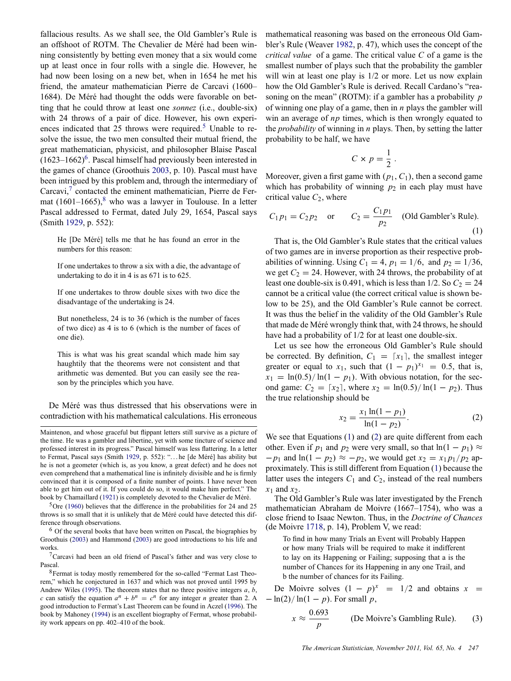<span id="page-1-0"></span>fallacious results. As we shall see, the Old Gambler's Rule is an offshoot of ROTM. The Chevalier de Méré had been winning consistently by betting even money that a six would come up at least once in four rolls with a single die. However, he had now been losing on a new bet, when in 1654 he met his friend, the amateur mathematician Pierre de Carcavi (1600– 1684). De Méré had thought the odds were favorable on betting that he could throw at least one *sonnez* (i.e., double-six) with 24 throws of a pair of dice. However, his own experiences indicated that 25 throws were required.<sup>5</sup> Unable to resolve the issue, the two men consulted their mutual friend, the great mathematician, physicist, and philosopher Blaise Pascal  $(1623-1662)^6$ . Pascal himself had previously been interested in the games of chance (Groothuis [2003,](#page-7-0) p. 10). Pascal must have been intrigued by this problem and, through the intermediary of Carcavi, $\frac{7}{7}$  contacted the eminent mathematician, Pierre de Fermat  $(1601-1665)$ ,<sup>8</sup> who was a lawyer in Toulouse. In a letter Pascal addressed to Fermat, dated July 29, 1654, Pascal says (Smith [1929](#page-8-0), p. 552):

He [De Méré] tells me that he has found an error in the numbers for this reason:

If one undertakes to throw a six with a die, the advantage of undertaking to do it in 4 is as 671 is to 625.

If one undertakes to throw double sixes with two dice the disadvantage of the undertaking is 24.

But nonetheless, 24 is to 36 (which is the number of faces of two dice) as 4 is to 6 (which is the number of faces of one die).

This is what was his great scandal which made him say haughtily that the theorems were not consistent and that arithmetic was demented. But you can easily see the reason by the principles which you have.

De Méré was thus distressed that his observations were in contradiction with his mathematical calculations. His erroneous

 $5$ Ore [\(1960](#page-8-0)) believes that the difference in the probabilities for 24 and 25 throws is so small that it is unlikely that de Méré could have detected this difference through observations.

 $6$  Of the several books that have been written on Pascal, the biographies by Groothuis ([2003\)](#page-7-0) and Hammond ([2003\)](#page-7-0) are good introductions to his life and works.

7Carcavi had been an old friend of Pascal's father and was very close to Pascal.

8Fermat is today mostly remembered for the so-called "Fermat Last Theorem," which he conjectured in 1637 and which was not proved until 1995 by Andrew Wiles [\(1995](#page-8-0)). The theorem states that no three positive integers *a*, *b*, *c* can satisfy the equation  $a^n + b^n = c^n$  for any integer *n* greater than 2. A good introduction to Fermat's Last Theorem can be found in Aczel ([1996\)](#page-7-0). The book by Mahoney [\(1994](#page-8-0)) is an excellent biography of Fermat, whose probability work appears on pp. 402–410 of the book.

mathematical reasoning was based on the erroneous Old Gambler's Rule (Weaver [1982](#page-8-0), p. 47), which uses the concept of the *critical value* of a game. The critical value *C* of a game is the smallest number of plays such that the probability the gambler will win at least one play is  $1/2$  or more. Let us now explain how the Old Gambler's Rule is derived. Recall Cardano's "reasoning on the mean" (ROTM): if a gambler has a probability *p* of winning one play of a game, then in *n* plays the gambler will win an average of *np* times, which is then wrongly equated to the *probability* of winning in *n* plays. Then, by setting the latter probability to be half, we have

$$
C \times p = \frac{1}{2} \ .
$$

Moreover, given a first game with  $(p_1, C_1)$ , then a second game which has probability of winning  $p_2$  in each play must have critical value  $C_2$ , where

$$
C_1 p_1 = C_2 p_2
$$
 or  $C_2 = \frac{C_1 p_1}{p_2}$  (Old Gambler's Rule). (1)

That is, the Old Gambler's Rule states that the critical values of two games are in inverse proportion as their respective probabilities of winning. Using  $C_1 = 4$ ,  $p_1 = 1/6$ , and  $p_2 = 1/36$ , we get  $C_2 = 24$ . However, with 24 throws, the probability of at least one double-six is 0.491, which is less than  $1/2$ . So  $C_2 = 24$ cannot be a critical value (the correct critical value is shown below to be 25), and the Old Gambler's Rule cannot be correct. It was thus the belief in the validity of the Old Gambler's Rule that made de Méré wrongly think that, with 24 throws, he should have had a probability of 1/2 for at least one double-six.

Let us see how the erroneous Old Gambler's Rule should be corrected. By definition,  $C_1 = \lceil x_1 \rceil$ , the smallest integer greater or equal to  $x_1$ , such that  $(1 - p_1)^{x_1} = 0.5$ , that is,  $x_1 = \ln(0.5)/\ln(1 - p_1)$ . With obvious notation, for the second game:  $C_2 = [x_2]$ , where  $x_2 = \ln(0.5)/\ln(1 - p_2)$ . Thus the true relationship should be

$$
x_2 = \frac{x_1 \ln(1 - p_1)}{\ln(1 - p_2)}.
$$
 (2)

We see that Equations (1) and (2) are quite different from each other. Even if  $p_1$  and  $p_2$  were very small, so that  $ln(1 - p_1) \approx$  $-p_1$  and  $ln(1 - p_2) \approx -p_2$ , we would get  $x_2 = x_1 p_1 / p_2$  approximately. This is still different from Equation (1) because the latter uses the integers  $C_1$  and  $C_2$ , instead of the real numbers  $x_1$  and  $x_2$ .

The Old Gambler's Rule was later investigated by the French mathematician Abraham de Moivre (1667–1754), who was a close friend to Isaac Newton. Thus, in the *Doctrine of Chances* (de Moivre [1718](#page-7-0), p. 14), Problem V, we read:

To find in how many Trials an Event will Probably Happen or how many Trials will be required to make it indifferent to lay on its Happening or Failing; supposing that a is the number of Chances for its Happening in any one Trail, and b the number of chances for its Failing.

De Moivre solves  $(1 - p)^x = 1/2$  and obtains  $x =$ − ln(2)/ ln(1 − *p*). For small *p*,

$$
x \approx \frac{0.693}{p}
$$
 (De Moivre's Gambling Rule). (3)

Maintenon, and whose graceful but flippant letters still survive as a picture of the time. He was a gambler and libertine, yet with some tincture of science and professed interest in its progress." Pascal himself was less flattering. In a letter to Fermat, Pascal says (Smith [1929](#page-8-0), p. 552): "... he [de Méré] has ability but he is not a geometer (which is, as you know, a great defect) and he does not even comprehend that a mathematical line is infinitely divisible and he is firmly convinced that it is composed of a finite number of points. I have never been able to get him out of it. If you could do so, it would make him perfect." The book by Chamaillard ([1921\)](#page-7-0) is completely devoted to the Chevalier de Méré.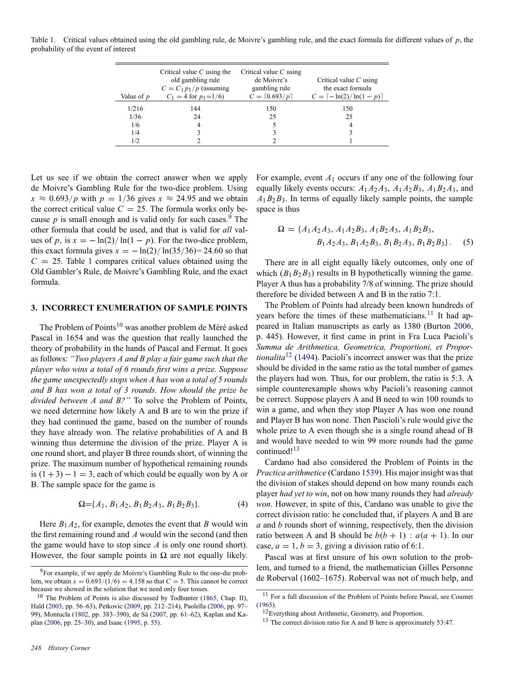<span id="page-2-0"></span>Table 1. Critical values obtained using the old gambling rule, de Moivre's gambling rule, and the exact formula for different values of *p*, the probability of the event of interest

| Value of $p$ | Critical value $C$ using the<br>old gambling rule<br>$C = C_1 p_1 / p$ (assuming<br>$C_1 = 4$ for $p_1 = 1/6$ | Critical value $C$ using<br>de Moivre's<br>gambling rule<br>$C = \lceil 0.693/p \rceil$ | Critical value $C$ using<br>the exact formula<br>$C = \lceil -\ln(2)/\ln(1-p) \rceil$ |
|--------------|---------------------------------------------------------------------------------------------------------------|-----------------------------------------------------------------------------------------|---------------------------------------------------------------------------------------|
| 1/216        | 144                                                                                                           | 150                                                                                     | 150                                                                                   |
| 1/36         | 24                                                                                                            | 25                                                                                      | 25                                                                                    |
| 1/6          | 4                                                                                                             |                                                                                         | $\overline{4}$                                                                        |
| 1/4          |                                                                                                               |                                                                                         | 3                                                                                     |
| 1/2          |                                                                                                               |                                                                                         |                                                                                       |

Let us see if we obtain the correct answer when we apply de Moivre's Gambling Rule for the two-dice problem. Using  $x \approx 0.693/p$  with  $p = 1/36$  gives  $x \approx 24.95$  and we obtain the correct critical value  $C = 25$ . The formula works only because  $p$  is small enough and is valid only for such cases.<sup>9</sup> The other formula that could be used, and that is valid for *all* values of *p*, is  $x = -\ln(2)/\ln(1-p)$ . For the two-dice problem, this exact formula gives  $x = -\ln(2)/\ln(35/36) = 24.60$  so that  $C = 25$ . Table 1 compares critical values obtained using the Old Gambler's Rule, de Moivre's Gambling Rule, and the exact formula.

#### **3. INCORRECT ENUMERATION OF SAMPLE POINTS**

The Problem of Points<sup>10</sup> was another problem de Méré asked Pascal in 1654 and was the question that really launched the theory of probability in the hands of Pascal and Fermat. It goes as follows: *"Two players A and B play a fair game such that the player who wins a total of 6 rounds first wins a prize. Suppose the game unexpectedly stops when A has won a total of 5 rounds and B has won a total of 3 rounds. How should the prize be divided between A and B?"* To solve the Problem of Points, we need determine how likely A and B are to win the prize if they had continued the game, based on the number of rounds they have already won. The relative probabilities of A and B winning thus determine the division of the prize. Player A is one round short, and player B three rounds short, of winning the prize. The maximum number of hypothetical remaining rounds is  $(1 + 3) - 1 = 3$ , each of which could be equally won by A or B. The sample space for the game is

$$
\Omega = \{A_1, B_1A_2, B_1B_2A_3, B_1B_2B_3\}.\tag{4}
$$

Here  $B_1A_2$ , for example, denotes the event that *B* would win the first remaining round and *A* would win the second (and then the game would have to stop since *A* is only one round short). However, the four sample points in  $\Omega$  are not equally likely.

For example, event *A*<sup>1</sup> occurs if any one of the following four equally likely events occurs:  $A_1A_2A_3$ ,  $A_1A_2B_3$ ,  $A_1B_2A_3$ , and  $A_1B_2B_3$ . In terms of equally likely sample points, the sample space is thus

$$
\Omega = \{A_1 A_2 A_3, A_1 A_2 B_3, A_1 B_2 A_3, A_1 B_2 B_3, B_1 A_2 A_3, B_1 A_2 B_3, B_1 B_2 A_3, B_1 B_2 B_3\}.
$$
 (5)

There are in all eight equally likely outcomes, only one of which  $(B_1B_2B_3)$  results in B hypothetically winning the game. Player A thus has a probability 7/8 of winning. The prize should therefore be divided between A and B in the ratio 7:1.

The Problem of Points had already been known hundreds of years before the times of these mathematicians.<sup>11</sup> It had appeared in Italian manuscripts as early as 1380 (Burton [2006,](#page-7-0) p. 445). However, it first came in print in Fra Luca Pacioli's *Summa de Arithmetica, Geometrica, Proportioni, et Proportionalita*<sup>12</sup> ([1494\)](#page-8-0). Pacioli's incorrect answer was that the prize should be divided in the same ratio as the total number of games the players had won. Thus, for our problem, the ratio is 5:3. A simple counterexample shows why Pacioli's reasoning cannot be correct. Suppose players A and B need to win 100 rounds to win a game, and when they stop Player A has won one round and Player B has won none. Then Pascioli's rule would give the whole prize to A even though she is a single round ahead of B and would have needed to win 99 more rounds had the game continued!<sup>13</sup>

Cardano had also considered the Problem of Points in the *Practica arithmetice* (Cardano [1539](#page-7-0)). His major insight was that the division of stakes should depend on how many rounds each player *had yet to win*, not on how many rounds they had *already won*. However, in spite of this, Cardano was unable to give the correct division ratio: he concluded that, if players A and B are *a* and *b* rounds short of winning, respectively, then the division ratio between A and B should be  $b(b + 1)$ :  $a(a + 1)$ . In our case,  $a = 1$ ,  $b = 3$ , giving a division ratio of 6:1.

Pascal was at first unsure of his own solution to the problem, and turned to a friend, the mathematician Gilles Personne de Roberval (1602–1675). Roberval was not of much help, and

 $9^9$ For example, if we apply de Moivre's Gambling Rule to the one-die problem, we obtain  $x = 0.693/(1/6) = 4.158$  so that  $C = 5$ . This cannot be correct because we showed in the solution that we need only four tosses.

<sup>&</sup>lt;sup>10</sup> The Problem of Points is also discussed by Todhunter ([1865,](#page-8-0) Chap. II), Hald [\(2003](#page-7-0), pp. 56–63), Petkovic [\(2009](#page-8-0), pp. 212–214), Paolella [\(2006](#page-8-0), pp. 97– 99), Montucla ([1802,](#page-8-0) pp. 383-390), de Sá ([2007](#page-8-0), pp. 61-62), Kaplan and Kaplan [\(2006](#page-7-0), pp. 25–30), and Isaac [\(1995](#page-7-0), p. 55).

<sup>11</sup> For a full discussion of the Problem of Points before Pascal, see Coumet  $(1965).$  $(1965).$  $(1965).$ 

<sup>&</sup>lt;sup>12</sup> Everything about Arithmetic, Geometry, and Proportion.

 $13$  The correct division ratio for A and B here is approximately 53:47.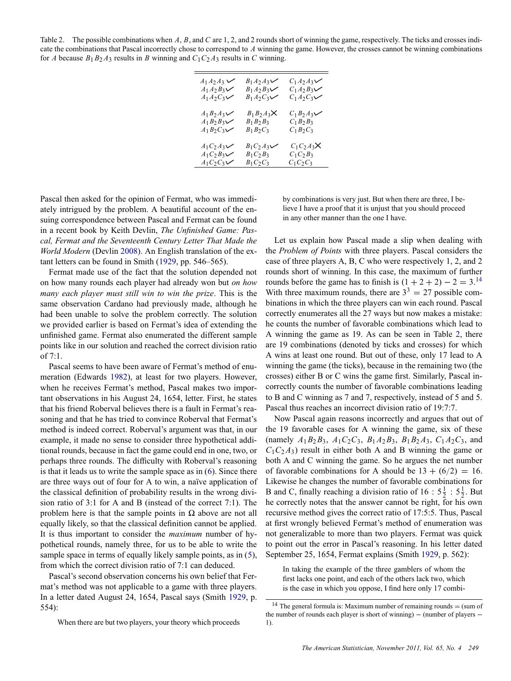<span id="page-3-0"></span>Table 2. The possible combinations when A, B, and C are 1, 2, and 2 rounds short of winning the game, respectively. The ticks and crosses indicate the combinations that Pascal incorrectly chose to correspond to *A* winning the game. However, the crosses cannot be winning combinations for *A* because  $B_1B_2A_3$  results in *B* winning and  $C_1C_2A_3$  results in *C* winning.

| $A_1A_2A_3 \vee$ | $B_1A_2A_3\vee$      | $C_1A_2A_3\vee$ |
|------------------|----------------------|-----------------|
| $A_1A_2B_3\vee$  | $B_1A_2B_3\vee$      | $C_1A_2B_3\vee$ |
| $A_1A_2C_3$      | $B_1A_2C_3$          | $C_1A_2C_3\vee$ |
| $A_1B_2A_3\vee$  | $B_1 B_2 A_3 \times$ | $C_1B_2A_3\vee$ |
| $A_1B_2B_3$      | $B_1 B_2 B_3$        | $C_1 B_2 B_3$   |
| $A_1B_2C_3$      | $B_1B_2C_3$          | $C_1B_2C_3$     |
| $A_1C_2A_3\vee$  | $B_1C_2A_3\vee$      | $C_1C_2A_3X$    |
| $A_1C_2B_3$      | $B_1C_2B_3$          | $C_1C_2B_3$     |
| $A_1C_2C_3$      | $B_1C_2C_3$          | $C_1C_2C_3$     |

Pascal then asked for the opinion of Fermat, who was immediately intrigued by the problem. A beautiful account of the ensuing correspondence between Pascal and Fermat can be found in a recent book by Keith Devlin, *The Unfinished Game: Pascal, Fermat and the Seventeenth Century Letter That Made the World Modern* (Devlin [2008](#page-7-0)). An English translation of the extant letters can be found in Smith ([1929,](#page-8-0) pp. 546–565).

Fermat made use of the fact that the solution depended not on how many rounds each player had already won but *on how many each player must still win to win the prize*. This is the same observation Cardano had previously made, although he had been unable to solve the problem correctly. The solution we provided earlier is based on Fermat's idea of extending the unfinished game. Fermat also enumerated the different sample points like in our solution and reached the correct division ratio of 7:1.

Pascal seems to have been aware of Fermat's method of enumeration (Edwards [1982](#page-7-0)), at least for two players. However, when he receives Fermat's method, Pascal makes two important observations in his August 24, 1654, letter. First, he states that his friend Roberval believes there is a fault in Fermat's reasoning and that he has tried to convince Roberval that Fermat's method is indeed correct. Roberval's argument was that, in our example, it made no sense to consider three hypothetical additional rounds, because in fact the game could end in one, two, or perhaps three rounds. The difficulty with Roberval's reasoning is that it leads us to write the sample space as in [\(6](#page-5-0)). Since there are three ways out of four for A to win, a naïve application of the classical definition of probability results in the wrong division ratio of 3:1 for A and B (instead of the correct 7:1). The problem here is that the sample points in  $\Omega$  above are not all equally likely, so that the classical definition cannot be applied. It is thus important to consider the *maximum* number of hypothetical rounds, namely three, for us to be able to write the sample space in terms of equally likely sample points, as in ([5](#page-2-0)), from which the correct division ratio of 7:1 can deduced.

Pascal's second observation concerns his own belief that Fermat's method was not applicable to a game with three players. In a letter dated August 24, 1654, Pascal says (Smith [1929,](#page-8-0) p. 554):

When there are but two players, your theory which proceeds

by combinations is very just. But when there are three, I believe I have a proof that it is unjust that you should proceed in any other manner than the one I have.

Let us explain how Pascal made a slip when dealing with the *Problem of Points* with three players. Pascal considers the case of three players A, B, C who were respectively 1, 2, and 2 rounds short of winning. In this case, the maximum of further rounds before the game has to finish is  $(1 + 2 + 2) - 2 = 3$ .<sup>14</sup> With three maximum rounds, there are  $3^3 = 27$  possible combinations in which the three players can win each round. Pascal correctly enumerates all the 27 ways but now makes a mistake: he counts the number of favorable combinations which lead to A winning the game as 19. As can be seen in Table 2, there are 19 combinations (denoted by ticks and crosses) for which A wins at least one round. But out of these, only 17 lead to A winning the game (the ticks), because in the remaining two (the crosses) either B or C wins the game first. Similarly, Pascal incorrectly counts the number of favorable combinations leading to B and C winning as 7 and 7, respectively, instead of 5 and 5. Pascal thus reaches an incorrect division ratio of 19:7:7.

Now Pascal again reasons incorrectly and argues that out of the 19 favorable cases for A winning the game, six of these (namely  $A_1B_2B_3$ ,  $A_1C_2C_3$ ,  $B_1A_2B_3$ ,  $B_1B_2A_3$ ,  $C_1A_2C_3$ , and  $C_1C_2A_3$ ) result in either both A and B winning the game or both A and C winning the game. So he argues the net number of favorable combinations for A should be  $13 + (6/2) = 16$ . Likewise he changes the number of favorable combinations for B and C, finally reaching a division ratio of  $16: 5\frac{1}{2} : 5\frac{1}{2}$ . But he correctly notes that the answer cannot be right, for his own recursive method gives the correct ratio of 17:5:5. Thus, Pascal at first wrongly believed Fermat's method of enumeration was not generalizable to more than two players. Fermat was quick to point out the error in Pascal's reasoning. In his letter dated September 25, 1654, Fermat explains (Smith [1929,](#page-8-0) p. 562):

In taking the example of the three gamblers of whom the first lacks one point, and each of the others lack two, which is the case in which you oppose, I find here only 17 combi-

<sup>&</sup>lt;sup>14</sup> The general formula is: Maximum number of remaining rounds  $=$  (sum of the number of rounds each player is short of winning) − (number of players − 1).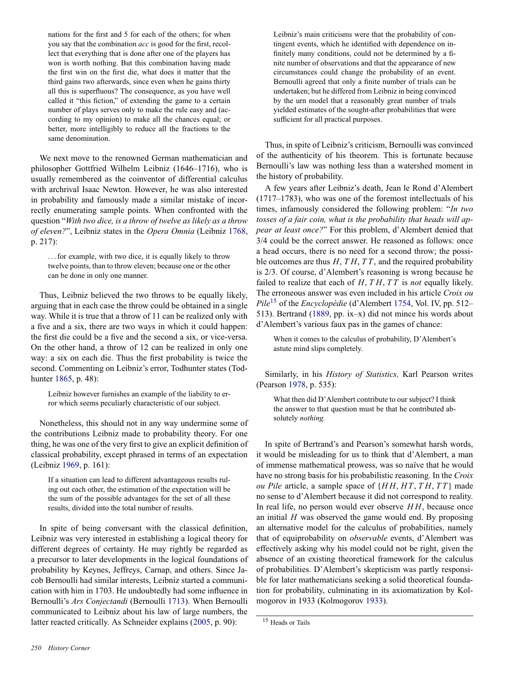<span id="page-4-0"></span>nations for the first and 5 for each of the others; for when you say that the combination *acc* is good for the first, recollect that everything that is done after one of the players has won is worth nothing. But this combination having made the first win on the first die, what does it matter that the third gains two afterwards, since even when he gains thirty all this is superfluous? The consequence, as you have well called it "this fiction," of extending the game to a certain number of plays serves only to make the rule easy and (according to my opinion) to make all the chances equal; or better, more intelligibly to reduce all the fractions to the same denomination.

We next move to the renowned German mathematician and philosopher Gottfried Wilhelm Leibniz (1646–1716), who is usually remembered as the coinventor of differential calculus with archrival Isaac Newton. However, he was also interested in probability and famously made a similar mistake of incorrectly enumerating sample points. When confronted with the question "*With two dice, is a throw of twelve as likely as a throw of eleven?*", Leibniz states in the *Opera Omnia* (Leibniz [1768,](#page-8-0) p. 217):

. . . for example, with two dice, it is equally likely to throw twelve points, than to throw eleven; because one or the other can be done in only one manner.

Thus, Leibniz believed the two throws to be equally likely, arguing that in each case the throw could be obtained in a single way. While it is true that a throw of 11 can be realized only with a five and a six, there are two ways in which it could happen: the first die could be a five and the second a six, or vice-versa. On the other hand, a throw of 12 can be realized in only one way: a six on each die. Thus the first probability is twice the second. Commenting on Leibniz's error, Todhunter states (Todhunter [1865,](#page-8-0) p. 48):

Leibniz however furnishes an example of the liability to error which seems peculiarly characteristic of our subject.

Nonetheless, this should not in any way undermine some of the contributions Leibniz made to probability theory. For one thing, he was one of the very first to give an explicit definition of classical probability, except phrased in terms of an expectation (Leibniz [1969](#page-8-0), p. 161):

If a situation can lead to different advantageous results ruling out each other, the estimation of the expectation will be the sum of the possible advantages for the set of all these results, divided into the total number of results.

In spite of being conversant with the classical definition, Leibniz was very interested in establishing a logical theory for different degrees of certainty. He may rightly be regarded as a precursor to later developments in the logical foundations of probability by Keynes, Jeffreys, Carnap, and others. Since Jacob Bernoulli had similar interests, Leibniz started a communication with him in 1703. He undoubtedly had some influence in Bernoulli's *Ars Conjectandi* (Bernoulli [1713](#page-7-0)). When Bernoulli communicated to Leibniz about his law of large numbers, the latter reacted critically. As Schneider explains ([2005,](#page-8-0) p. 90):

Leibniz's main criticisms were that the probability of contingent events, which he identified with dependence on infinitely many conditions, could not be determined by a finite number of observations and that the appearance of new circumstances could change the probability of an event. Bernoulli agreed that only a finite number of trials can be undertaken; but he differed from Leibniz in being convinced by the urn model that a reasonably great number of trials yielded estimates of the sought-after probabilities that were sufficient for all practical purposes.

Thus, in spite of Leibniz's criticism, Bernoulli was convinced of the authenticity of his theorem. This is fortunate because Bernoulli's law was nothing less than a watershed moment in the history of probability.

A few years after Leibniz's death, Jean le Rond d'Alembert (1717–1783), who was one of the foremost intellectuals of his times, infamously considered the following problem: "*In two tosses of a fair coin, what is the probability that heads will appear at least once?*" For this problem, d'Alembert denied that 3/4 could be the correct answer. He reasoned as follows: once a head occurs, there is no need for a second throw; the possible outcomes are thus *H*, *T H*, *T T*, and the required probability is 2/3. Of course, d'Alembert's reasoning is wrong because he failed to realize that each of *H*, *T H*, *T T* is *not* equally likely. The erroneous answer was even included in his article *Croix ou Pile*<sup>15</sup> of the *Encyclopédie* (d'Alembert [1754,](#page-7-0) Vol. IV, pp. 512– 513). Bertrand ([1889,](#page-7-0) pp. ix–x) did not mince his words about d'Alembert's various faux pas in the games of chance:

When it comes to the calculus of probability, D'Alembert's astute mind slips completely.

Similarly, in his *History of Statistics,* Karl Pearson writes (Pearson [1978](#page-8-0), p. 535):

What then did D'Alembert contribute to our subject? I think the answer to that question must be that he contributed absolutely *nothing.*

In spite of Bertrand's and Pearson's somewhat harsh words, it would be misleading for us to think that d'Alembert, a man of immense mathematical prowess, was so naïve that he would have no strong basis for his probabilistic reasoning. In the *Croix ou Pile* article, a sample space of {*H H*, *H T*, *T H*, *T T* } made no sense to d'Alembert because it did not correspond to reality. In real life, no person would ever observe *H H*, because once an initial *H* was observed the game would end. By proposing an alternative model for the calculus of probabilities, namely that of equiprobability on *observable* events, d'Alembert was effectively asking why his model could not be right, given the absence of an existing theoretical framework for the calculus of probabilities. D'Alembert's skepticism was partly responsible for later mathematicians seeking a solid theoretical foundation for probability, culminating in its axiomatization by Kolmogorov in 1933 (Kolmogorov [1933](#page-7-0)).

<sup>15</sup> Heads or Tails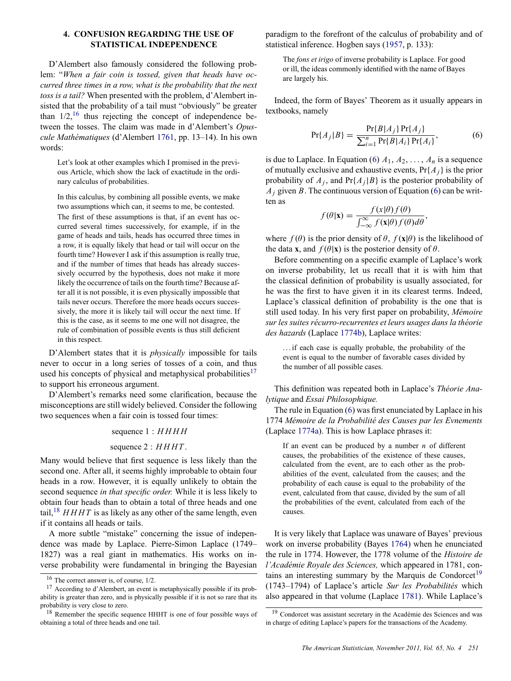# <span id="page-5-0"></span>**4. CONFUSION REGARDING THE USE OF STATISTICAL INDEPENDENCE**

D'Alembert also famously considered the following problem: "*When a fair coin is tossed, given that heads have occurred three times in a row, what is the probability that the next toss is a tail?* When presented with the problem, d'Alembert insisted that the probability of a tail must "obviously" be greater than  $1/2$ , <sup>16</sup> thus rejecting the concept of independence between the tosses. The claim was made in d'Alembert's *Opuscule Mathématiques* (d'Alembert [1761](#page-7-0), pp. 13–14). In his own words:

Let's look at other examples which I promised in the previous Article, which show the lack of exactitude in the ordinary calculus of probabilities.

In this calculus, by combining all possible events, we make two assumptions which can, it seems to me, be contested. The first of these assumptions is that, if an event has occurred several times successively, for example, if in the game of heads and tails, heads has occurred three times in a row, it is equally likely that head or tail will occur on the fourth time? However I ask if this assumption is really true, and if the number of times that heads has already successively occurred by the hypothesis, does not make it more likely the occurrence of tails on the fourth time? Because after all it is not possible, it is even physically impossible that tails never occurs. Therefore the more heads occurs successively, the more it is likely tail will occur the next time. If this is the case, as it seems to me one will not disagree, the rule of combination of possible events is thus still deficient in this respect.

D'Alembert states that it is *physically* impossible for tails never to occur in a long series of tosses of a coin, and thus used his concepts of physical and metaphysical probabilities<sup>17</sup> to support his erroneous argument.

D'Alembert's remarks need some clarification, because the misconceptions are still widely believed. Consider the following two sequences when a fair coin is tossed four times:

sequence 1 : *H H H H*

#### sequence 2 :  $HHHT$ .

Many would believe that first sequence is less likely than the second one. After all, it seems highly improbable to obtain four heads in a row. However, it is equally unlikely to obtain the second sequence *in that specific order.* While it is less likely to obtain four heads than to obtain a total of three heads and one tail,<sup>18</sup> *HHHT* is as likely as any other of the same length, even if it contains all heads or tails.

A more subtle "mistake" concerning the issue of independence was made by Laplace. Pierre-Simon Laplace (1749– 1827) was a real giant in mathematics. His works on inverse probability were fundamental in bringing the Bayesian paradigm to the forefront of the calculus of probability and of statistical inference. Hogben says ([1957,](#page-7-0) p. 133):

The *fons et irigo* of inverse probability is Laplace. For good or ill, the ideas commonly identified with the name of Bayes are largely his.

Indeed, the form of Bayes' Theorem as it usually appears in textbooks, namely

$$
Pr{A_j|B} = \frac{Pr{B|A_j} Pr{A_j}}{\sum_{i=1}^{n} Pr{B|A_i} Pr{A_i}},
$$
(6)

is due to Laplace. In Equation (6)  $A_1, A_2, \ldots, A_n$  is a sequence of mutually exclusive and exhaustive events, Pr{*Aj*} is the prior probability of  $A_i$ , and  $Pr{A_i|B}$  is the posterior probability of  $A_i$  given *B*. The continuous version of Equation (6) can be written as

$$
f(\theta|\mathbf{x}) = \frac{f(\mathbf{x}|\theta)f(\theta)}{\int_{-\infty}^{\infty} f(\mathbf{x}|\theta)f(\theta)d\theta},
$$

where  $f(\theta)$  is the prior density of  $\theta$ ,  $f(\mathbf{x}|\theta)$  is the likelihood of the data **x**, and  $f(\theta|\mathbf{x})$  is the posterior density of  $\theta$ .

Before commenting on a specific example of Laplace's work on inverse probability, let us recall that it is with him that the classical definition of probability is usually associated, for he was the first to have given it in its clearest terms. Indeed, Laplace's classical definition of probability is the one that is still used today. In his very first paper on probability, *Memoire ´ sur les suites recurro-recurrentes et leurs usages dans la th ´ eorie ´ des hazards* (Laplace [1774b](#page-7-0)), Laplace writes:

. . . if each case is equally probable, the probability of the event is equal to the number of favorable cases divided by the number of all possible cases.

This definition was repeated both in Laplace's *Theorie Ana- ´ lytique* and *Essai Philosophique.*

The rule in Equation (6) was first enunciated by Laplace in his 1774 Mémoire de la Probabilité des Causes par les Evnements (Laplace [1774a\)](#page-7-0). This is how Laplace phrases it:

If an event can be produced by a number *n* of different causes, the probabilities of the existence of these causes, calculated from the event, are to each other as the probabilities of the event, calculated from the causes; and the probability of each cause is equal to the probability of the event, calculated from that cause, divided by the sum of all the probabilities of the event, calculated from each of the causes.

It is very likely that Laplace was unaware of Bayes' previous work on inverse probability (Bayes [1764](#page-7-0)) when he enunciated the rule in 1774. However, the 1778 volume of the *Histoire de l'Académie Royale des Sciences, which appeared in 1781, con*tains an interesting summary by the Marquis de Condorcet<sup>19</sup> (1743–1794) of Laplace's article *Sur les Probabilites´* which also appeared in that volume (Laplace [1781](#page-7-0)). While Laplace's

<sup>16</sup> The correct answer is, of course, 1/2.

<sup>17</sup> According to d'Alembert, an event is metaphysically possible if its probability is greater than zero, and is physically possible if it is not so rare that its probability is very close to zero.

<sup>&</sup>lt;sup>18</sup> Remember the specific sequence HHHT is one of four possible ways of obtaining a total of three heads and one tail.

<sup>&</sup>lt;sup>19</sup> Condorcet was assistant secretary in the Académie des Sciences and was in charge of editing Laplace's papers for the transactions of the Academy.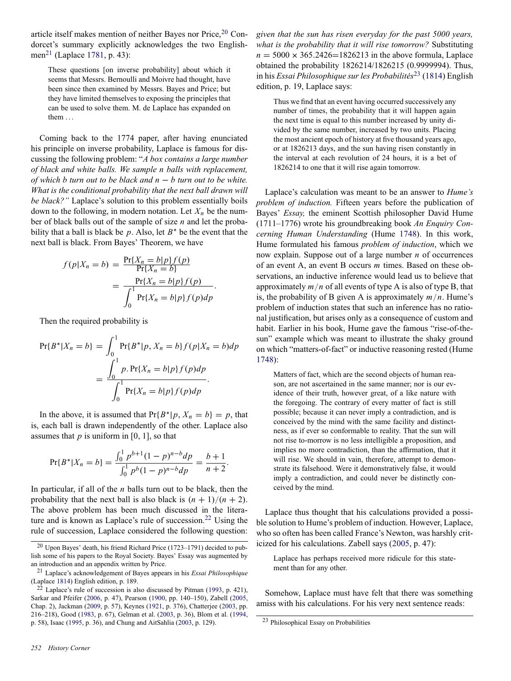<span id="page-6-0"></span>article itself makes mention of neither Bayes nor Price,<sup>20</sup> Condorcet's summary explicitly acknowledges the two English-men<sup>21</sup> (Laplace [1781,](#page-7-0) p. 43):

These questions [on inverse probability] about which it seems that Messrs. Bernoulli and Moivre had thought, have been since then examined by Messrs. Bayes and Price; but they have limited themselves to exposing the principles that can be used to solve them. M. de Laplace has expanded on them . . .

Coming back to the 1774 paper, after having enunciated his principle on inverse probability, Laplace is famous for discussing the following problem: "*A box contains a large number of black and white balls. We sample n balls with replacement, of which b turn out to be black and n* − *b turn out to be white. What is the conditional probability that the next ball drawn will be black?"* Laplace's solution to this problem essentially boils down to the following, in modern notation. Let  $X_n$  be the number of black balls out of the sample of size *n* and let the probability that a ball is black be *p*. Also, let *B*∗ be the event that the next ball is black. From Bayes' Theorem, we have

$$
f(p|X_n = b) = \frac{\Pr\{X_n = b|p\}f(p)}{\Pr\{X_n = b\}}
$$

$$
= \frac{\Pr\{X_n = b|p\}f(p)}{\int_0^1 \Pr\{X_n = b|p\}f(p)dp}.
$$

Then the required probability is

$$
\Pr\{B^*|X_n = b\} = \int_0^1 \Pr\{B^*|p, X_n = b\} f(p|X_n = b) dp
$$
  
= 
$$
\frac{\int_0^1 p \cdot \Pr\{X_n = b|p\} f(p) dp}{\int_0^1 \Pr\{X_n = b|p\} f(p) dp}.
$$

In the above, it is assumed that  $Pr{B^*|p, X_n = b} = p$ , that is, each ball is drawn independently of the other. Laplace also assumes that  $p$  is uniform in [0, 1], so that

$$
Pr{B^*|X_n = b} = \frac{\int_0^1 p^{b+1} (1-p)^{n-b} dp}{\int_0^1 p^b (1-p)^{n-b} dp} = \frac{b+1}{n+2}.
$$

In particular, if all of the *n* balls turn out to be black, then the probability that the next ball is also black is  $(n + 1)/(n + 2)$ . The above problem has been much discussed in the literature and is known as Laplace's rule of succession.<sup>22</sup> Using the rule of succession, Laplace considered the following question:

*252 History Corner*

*given that the sun has risen everyday for the past 5000 years, what is the probability that it will rise tomorrow?* Substituting  $n = 5000 \times 365.2426 = 1826213$  in the above formula, Laplace obtained the probability 1826214/1826215 (0.9999994). Thus, in his *Essai Philosophique sur les Probabilités*<sup>23</sup> [\(1814](#page-8-0)) English edition, p. 19, Laplace says:

Thus we find that an event having occurred successively any number of times, the probability that it will happen again the next time is equal to this number increased by unity divided by the same number, increased by two units. Placing the most ancient epoch of history at five thousand years ago, or at 1826213 days, and the sun having risen constantly in the interval at each revolution of 24 hours, it is a bet of 1826214 to one that it will rise again tomorrow.

Laplace's calculation was meant to be an answer to *Hume's problem of induction.* Fifteen years before the publication of Bayes' *Essay,* the eminent Scottish philosopher David Hume (1711–1776) wrote his groundbreaking book *An Enquiry Concerning Human Understanding* (Hume [1748](#page-7-0)). In this work, Hume formulated his famous *problem of induction*, which we now explain. Suppose out of a large number *n* of occurrences of an event A, an event B occurs *m* times. Based on these observations, an inductive inference would lead us to believe that approximately *m*/*n* of all events of type A is also of type B, that is, the probability of B given A is approximately  $m/n$ . Hume's problem of induction states that such an inference has no rational justification, but arises only as a consequence of custom and habit. Earlier in his book, Hume gave the famous "rise-of-thesun" example which was meant to illustrate the shaky ground on which "matters-of-fact" or inductive reasoning rested (Hume [1748\)](#page-7-0):

Matters of fact, which are the second objects of human reason, are not ascertained in the same manner; nor is our evidence of their truth, however great, of a like nature with the foregoing. The contrary of every matter of fact is still possible; because it can never imply a contradiction, and is conceived by the mind with the same facility and distinctness, as if ever so conformable to reality. That the sun will not rise to-morrow is no less intelligible a proposition, and implies no more contradiction, than the affirmation, that it will rise. We should in vain, therefore, attempt to demonstrate its falsehood. Were it demonstratively false, it would imply a contradiction, and could never be distinctly conceived by the mind.

Laplace thus thought that his calculations provided a possible solution to Hume's problem of induction. However, Laplace, who so often has been called France's Newton, was harshly criticized for his calculations. Zabell says ([2005,](#page-8-0) p. 47):

Laplace has perhaps received more ridicule for this statement than for any other.

Somehow, Laplace must have felt that there was something amiss with his calculations. For his very next sentence reads:

 $20$  Upon Bayes' death, his friend Richard Price (1723–1791) decided to publish some of his papers to the Royal Society. Bayes' Essay was augmented by an introduction and an appendix written by Price.

<sup>21</sup> Laplace's acknowledgement of Bayes appears in his *Essai Philosophique* (Laplace [1814\)](#page-8-0) English edition, p. 189.

 $22$  Laplace's rule of succession is also discussed by Pitman [\(1993](#page-8-0), p. 421), Sarkar and Pfeifer ([2006,](#page-8-0) p. 47), Pearson ([1900,](#page-8-0) pp. 140–150), Zabell [\(2005](#page-8-0), Chap. 2), Jackman ([2009,](#page-7-0) p. 57), Keynes ([1921,](#page-7-0) p. 376), Chatterjee ([2003,](#page-7-0) pp. 216–218), Good ([1983,](#page-7-0) p. 67), Gelman et al. ([2003,](#page-7-0) p. 36), Blom et al. [\(1994](#page-7-0), p. 58), Isaac ([1995](#page-7-0), p. 36), and Chung and AitSahlia [\(2003](#page-7-0), p. 129).

<sup>23</sup> Philosophical Essay on Probabilities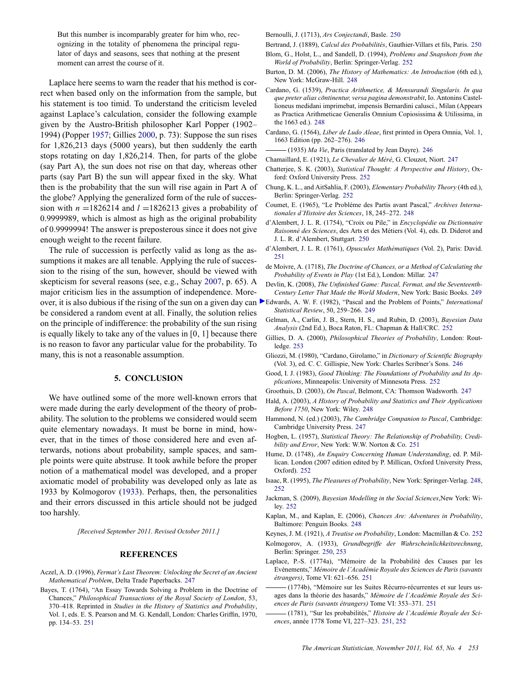<span id="page-7-0"></span>But this number is incomparably greater for him who, recognizing in the totality of phenomena the principal regulator of days and seasons, sees that nothing at the present moment can arrest the course of it.

Laplace here seems to warn the reader that his method is correct when based only on the information from the sample, but his statement is too timid. To understand the criticism leveled against Laplace's calculation, consider the following example given by the Austro-British philosopher Karl Popper (1902– 1994) (Popper [1957](#page-8-0); Gillies 2000, p. 73): Suppose the sun rises for 1,826,213 days (5000 years), but then suddenly the earth stops rotating on day 1,826,214. Then, for parts of the globe (say Part A), the sun does not rise on that day, whereas other parts (say Part B) the sun will appear fixed in the sky. What then is the probability that the sun will rise again in Part A of the globe? Applying the generalized form of the rule of succession with  $n = 1826214$  and  $l = 1826213$  gives a probability of 0.9999989, which is almost as high as the original probability of 0.9999994! The answer is preposterous since it does not give enough weight to the recent failure.

The rule of succession is perfectly valid as long as the assumptions it makes are all tenable. Applying the rule of succession to the rising of the sun, however, should be viewed with skepticism for several reasons (see, e.g., Schay [2007,](#page-8-0) p. 65). A major criticism lies in the assumption of independence. Morebe considered a random event at all. Finally, the solution relies on the principle of indifference: the probability of the sun rising is equally likely to take any of the values in [0, 1] because there is no reason to favor any particular value for the probability. To many, this is not a reasonable assumption.

### **5. CONCLUSION**

We have outlined some of the more well-known errors that were made during the early development of the theory of probability. The solution to the problems we considered would seem quite elementary nowadays. It must be borne in mind, however, that in the times of those considered here and even afterwards, notions about probability, sample spaces, and sample points were quite abstruse. It took awhile before the proper notion of a mathematical model was developed, and a proper axiomatic model of probability was developed only as late as 1933 by Kolmogorov (1933). Perhaps, then, the personalities and their errors discussed in this article should not be judged too harshly.

*[Received September 2011. Revised October 2011.]*

#### **REFERENCES**

- Aczel, A. D. (1996), *Fermat's Last Theorem: Unlocking the Secret of an Ancient Mathematical Problem*, Delta Trade Paperbacks. [247](#page-1-0)
- Bayes, T. (1764), "An Essay Towards Solving a Problem in the Doctrine of Chances," *Philosophical Transactions of the Royal Society of London*, 53, 370–418. Reprinted in *Studies in the History of Statistics and Probability*, Vol. 1, eds. E. S. Pearson and M. G. Kendall, London: Charles Griffin, 1970, pp. 134–53. [251](#page-5-0)

Bernoulli, J. (1713), *Ars Conjectandi*, Basle. [250](#page-4-0)

Bertrand, J. (1889), *Calcul des Probabilités*, Gauthier-Villars et fils, Paris. [250](#page-4-0)

- Blom, G., Holst, L., and Sandell, D. (1994), *Problems and Snapshots from the World of Probability*, Berlin: Springer-Verlag. [252](#page-6-0)
- Burton, D. M. (2006), *The History of Mathematics: An Introduction* (6th ed.), New York: McGraw-Hill. [248](#page-2-0)
- Cardano, G. (1539), *Practica Arithmetice, & Mensurandi Singularis. In qua que preter alias continentur, versa pagina demonstrabit ˜* , Io. Antonins Castellioneus medidani imprimebat, impensis Bernardini calusci., Milan (Appears as Practica Arithmeticae Generalis Omnium Copiosissima & Utilissima, in the 1663 ed.). [248](#page-2-0)
- Cardano, G. (1564), *Liber de Ludo Aleae*, first printed in Opera Omnia, Vol. 1, 1663 Edition (pp. 262–276). [246](#page-0-0)
- (1935) *Ma Vie*, Paris (translated by Jean Dayre). [246](#page-0-0)
- Chamaillard, E. (1921), *Le Chevalier de Méré*, G. Clouzot, Niort. [247](#page-1-0)
- Chatterjee, S. K. (2003), *Statistical Thought: A Perspective and History*, Oxford: Oxford University Press. [252](#page-6-0)
- Chung, K. L., and AitSahlia, F. (2003), *Elementary Probability Theory* (4th ed.), Berlin: Springer-Verlag. [252](#page-6-0)
- Coumet, E. (1965), "Le Probléme des Partis avant Pascal," Archives Interna*tionales d'Histoire des Sciences*, 18, 245–272. [248](#page-2-0)
- d'Alembert, J. L. R. (1754), "Croix ou Pile," in *Encyclopedie ou Dictionnaire ´ Raisonne des Sciences ´* , des Arts et des Metiers (Vol. 4), eds. D. Diderot and ´ J. L. R. d'Alembert, Stuttgart. [250](#page-4-0)
- d'Alembert, J. L. R. (1761), *Opuscules Mathematiques ´* (Vol. 2), Paris: David. [251](#page-5-0)
- de Moivre, A. (1718), *The Doctrine of Chances, or a Method of Calculating the Probability of Events in Play* (1st Ed.), London: Millar. [247](#page-1-0)
- Devlin, K. (2008), *The Unfinished Game: Pascal, Fermat, and the Seventeenth-Century Letter That Made the World Modern*, New York: Basic Books. [249](#page-3-0)
- over, it is also dubious if the rising of the sun on a given day can Edwards, A. W. F. (1982), "Pascal and the Problem of Points," *International Statistical Review*, 50, 259–266. [249](#page-3-0)
	- Gelman, A., Carlin, J. B., Stern, H. S., and Rubin, D. (2003), *Bayesian Data Analysis* (2nd Ed.), Boca Raton, FL: Chapman & Hall/CRC. [252](#page-6-0)
	- Gillies, D. A. (2000), *Philosophical Theories of Probability*, London: Routledge. 253
	- Gliozzi, M. (1980), "Cardano, Girolamo," in *Dictionary of Scientific Biography* (Vol. 3), ed. C. C. Gillispie, New York: Charles Scribner's Sons. [246](#page-0-0)
	- Good, I. J. (1983), *Good Thinking: The Foundations of Probability and Its Applications*, Minneapolis: University of Minnesota Press. [252](#page-6-0)
	- Groothuis, D. (2003), *On Pascal*, Belmont, CA: Thomson Wadsworth. [247](#page-1-0)
	- Hald, A. (2003), *A History of Probability and Statistics and Their Applications Before 1750*, New York: Wiley. [248](#page-2-0)
	- Hammond, N. (ed.) (2003), *The Cambridge Companion to Pascal*, Cambridge: Cambridge University Press. [247](#page-1-0)
	- Hogben, L. (1957), *Statistical Theory: The Relationship of Probability, Credibility and Error*, New York: W.W. Norton & Co. [251](#page-5-0)
	- Hume, D. (1748), *An Enquiry Concerning Human Understanding*, ed. P. Millican. London (2007 edition edited by P. Millican, Oxford University Press, Oxford). [252](#page-6-0)
	- Isaac, R. (1995), *The Pleasures of Probability*, New York: Springer-Verlag. [248,](#page-2-0) [252](#page-6-0)
	- Jackman, S. (2009), *Bayesian Modelling in the Social Sciences*,New York: Wiley. [252](#page-6-0)
	- Kaplan, M., and Kaplan, E. (2006), *Chances Are: Adventures in Probability*, Baltimore: Penguin Books. [248](#page-2-0)
	- Keynes, J. M. (1921), *A Treatise on Probability*, London: Macmillan & Co. [252](#page-6-0)
	- Kolmogorov, A. (1933), *Grundbegriffe der Wahrscheinlichkeitsrechnung*, Berlin: Springer. [250,](#page-4-0) 253
	- Laplace, P.-S. (1774a), "Mémoire de la Probabilité des Causes par les Evénements," Mémoire de l'Académie Royale des Sciences de Paris (savants *étrangers*), Tome VI: 621–656. [251](#page-5-0)
	- (1774b), "Mémoire sur les Suites Récurro-récurrentes et sur leurs usages dans la théorie des hasards," Mémoire de l'Académie Royale des Sci*ences de Paris (savants etrangers) ´* Tome VI: 353–371. [251](#page-5-0)
	- (1781), "Sur les probabilites," ´ *Histoire de l'Academie Royale des Sci- ´ ences*, année 1778 Tome VI, 227-323. [251](#page-5-0), [252](#page-6-0)